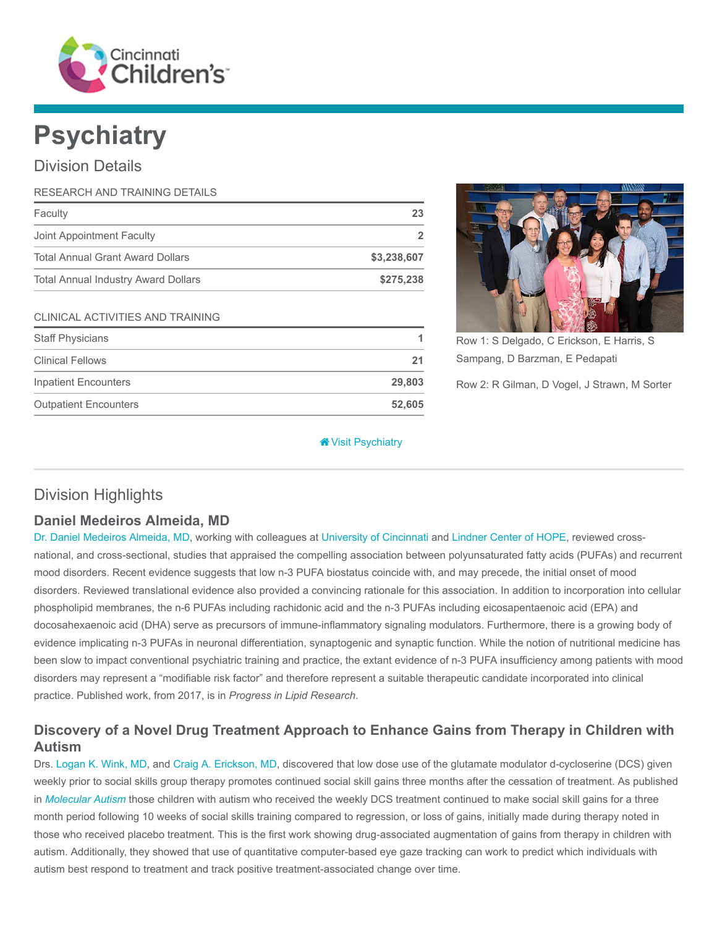

# **Psychiatry**

## Division Details

| RESEARCH AND TRAINING DETAILS              |                |
|--------------------------------------------|----------------|
| Faculty                                    | 23             |
| Joint Appointment Faculty                  | $\overline{2}$ |
| <b>Total Annual Grant Award Dollars</b>    | \$3,238,607    |
| <b>Total Annual Industry Award Dollars</b> | \$275,238      |
| CLINICAL ACTIVITIES AND TRAINING           |                |
| <b>Staff Physicians</b>                    |                |
| <b>Clinical Fellows</b>                    | 21             |
| <b>Inpatient Encounters</b>                | 29,803         |
| <b>Outpatient Encounters</b>               | 52,605         |



Row 1: S Delgado, C Erickson, E Harris, S Sampang, D Barzman, E Pedapati Row 2: R Gilman, D Vogel, J Strawn, M Sorter

**Wisit Psychiatry** 

# Division Highlights

### Daniel Medeiros Almeida, MD

[Dr. Daniel Medeiros Almeida, MD](https://www.cincinnatichildrens.org/bio/m/daniel-medeiros-almeida), working with colleagues at [University of Cincinnati](http://www.uc.edu/) and [Lindner Center of HOPE,](http://lindnercenterofhope.org/) reviewed crossnational, and cross-sectional, studies that appraised the compelling association between polyunsaturated fatty acids (PUFAs) and recurrent mood disorders. Recent evidence suggests that low n-3 PUFA biostatus coincide with, and may precede, the initial onset of mood disorders. Reviewed translational evidence also provided a convincing rationale for this association. In addition to incorporation into cellular phospholipid membranes, the n-6 PUFAs including rachidonic acid and the n-3 PUFAs including eicosapentaenoic acid (EPA) and docosahexaenoic acid (DHA) serve as precursors of immune-inflammatory signaling modulators. Furthermore, there is a growing body of evidence implicating n-3 PUFAs in neuronal differentiation, synaptogenic and synaptic function. While the notion of nutritional medicine has been slow to impact conventional psychiatric training and practice, the extant evidence of n-3 PUFA insufficiency among patients with mood disorders may represent a "modifiable risk factor" and therefore represent a suitable therapeutic candidate incorporated into clinical practice. Published work, from 2017, is in Progress in Lipid Research.

## Discovery of a Novel Drug Treatment Approach to Enhance Gains from Therapy in Children with Autism

Drs. [Logan K. Wink, MD,](https://www.cincinnatichildrens.org/bio/w/logan-wink) and [Craig A. Erickson, MD,](https://www.cincinnatichildrens.org/bio/e/craig-erickson) discovered that low dose use of the glutamate modulator d-cycloserine (DCS) given weekly prior to social skills group therapy promotes continued social skill gains three months after the cessation of treatment. As published in [Molecular Autism](https://molecularautism.biomedcentral.com/articles/) those children with autism who received the weekly DCS treatment continued to make social skill gains for a three month period following 10 weeks of social skills training compared to regression, or loss of gains, initially made during therapy noted in those who received placebo treatment. This is the first work showing drug-associated augmentation of gains from therapy in children with autism. Additionally, they showed that use of quantitative computer-based eye gaze tracking can work to predict which individuals with autism best respond to treatment and track positive treatment-associated change over time.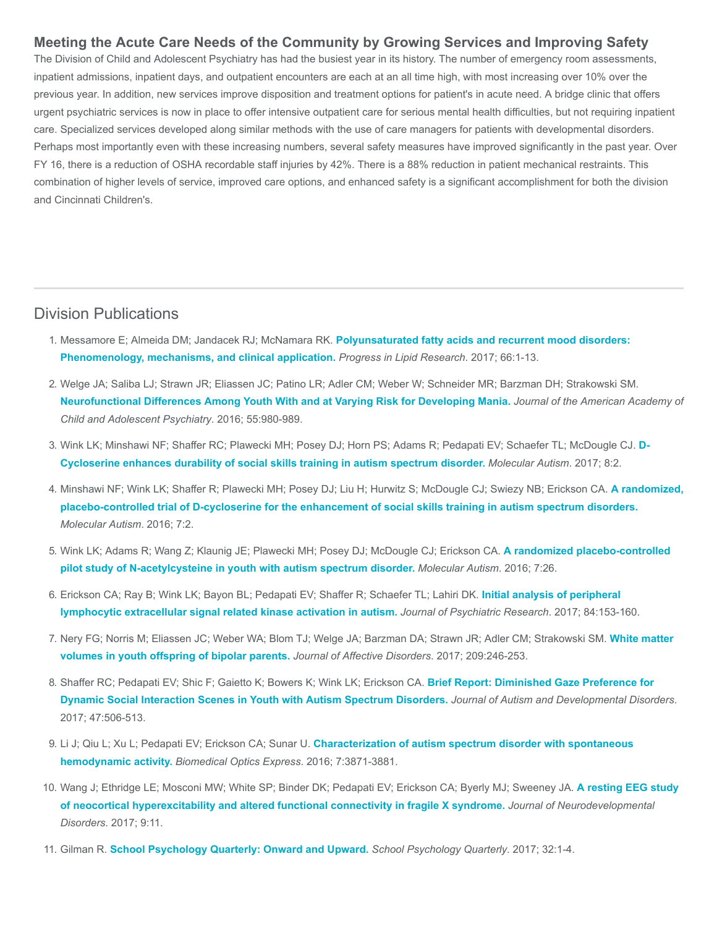#### Meeting the Acute Care Needs of the Community by Growing Services and Improving Safety

The Division of Child and Adolescent Psychiatry has had the busiest year in its history. The number of emergency room assessments, inpatient admissions, inpatient days, and outpatient encounters are each at an all time high, with most increasing over 10% over the previous year. In addition, new services improve disposition and treatment options for patient's in acute need. A bridge clinic that offers urgent psychiatric services is now in place to offer intensive outpatient care for serious mental health difficulties, but not requiring inpatient care. Specialized services developed along similar methods with the use of care managers for patients with developmental disorders. Perhaps most importantly even with these increasing numbers, several safety measures have improved significantly in the past year. Over FY 16, there is a reduction of OSHA recordable staff injuries by 42%. There is a 88% reduction in patient mechanical restraints. This combination of higher levels of service, improved care options, and enhanced safety is a significant accomplishment for both the division and Cincinnati Children's.

### Division Publications

- 1. [Messamore E; Almeida DM; Jandacek RJ; McNamara RK.](https://www.ncbi.nlm.nih.gov/pubmed/28069365) Polyunsaturated fatty acids and recurrent mood disorders: Phenomenology, mechanisms, and clinical application. Progress in Lipid Research. 2017; 66:1-13.
- 2. Welge JA; Saliba LJ; Strawn JR; Eliassen JC; Patino LR; Adler CM; Weber W; Schneider MR; Barzman DH; Strakowski SM. [Neurofunctional Differences Among Youth With and at Varying Risk for Developing Mania.](https://www.ncbi.nlm.nih.gov/pubmed/27806866) Journal of the American Academy of Child and Adolescent Psychiatry. 2016; 55:980-989.
- 3. [Wink LK; Minshawi NF; Shaffer RC; Plawecki MH; Posey DJ; Horn PS; Adams R; Pedapati EV; Schaefer TL; McDougle CJ.](https://www.ncbi.nlm.nih.gov/pubmed/28138381) D-Cycloserine enhances durability of social skills training in autism spectrum disorder. Molecular Autism. 2017; 8:2.
- 4. [Minshawi NF; Wink LK; Shaffer R; Plawecki MH; Posey DJ; Liu H; Hurwitz S; McDougle CJ; Swiezy NB; Erickson CA.](https://www.ncbi.nlm.nih.gov/pubmed/26770664) A randomized, placebo-controlled trial of D-cycloserine for the enhancement of social skills training in autism spectrum disorders. Molecular Autism. 2016; 7:2.
- 5. [Wink LK; Adams R; Wang Z; Klaunig JE; Plawecki MH; Posey DJ; McDougle CJ; Erickson CA.](https://www.ncbi.nlm.nih.gov/pubmed/27103982) A randomized placebo-controlled pilot study of N-acetylcysteine in youth with autism spectrum disorder. Molecular Autism. 2016; 7:26.
- 6. [Erickson CA; Ray B; Wink LK; Bayon BL; Pedapati EV; Shaffer R; Schaefer TL; Lahiri DK.](https://www.ncbi.nlm.nih.gov/pubmed/27743527) Initial analysis of peripheral lymphocytic extracellular signal related kinase activation in autism. Journal of Psychiatric Research. 2017; 84:153-160.
- 7. [Nery FG; Norris M; Eliassen JC; Weber WA; Blom TJ; Welge JA; Barzman DA; Strawn JR; Adler CM; Strakowski SM.](https://www.ncbi.nlm.nih.gov/pubmed/27936454) White matter volumes in youth offspring of bipolar parents. Journal of Affective Disorders. 2017; 209:246-253.
- 8. [Shaffer RC; Pedapati EV; Shic F; Gaietto K; Bowers K; Wink LK; Erickson CA.](https://www.ncbi.nlm.nih.gov/pubmed/27878742) Brief Report: Diminished Gaze Preference for Dynamic Social Interaction Scenes in Youth with Autism Spectrum Disorders. Journal of Autism and Developmental Disorders. 2017; 47:506-513.
- 9. Li J; Qiu L; Xu L; Pedapati EV; Erickson CA; Sunar U. [Characterization of autism spectrum disorder with spontaneous](https://www.ncbi.nlm.nih.gov/pubmed/27867699) hemodynamic activity. Biomedical Optics Express. 2016; 7:3871-3881.
- 10. [Wang J; Ethridge LE; Mosconi MW; White SP; Binder DK; Pedapati EV; Erickson CA; Byerly MJ; Sweeney JA.](https://www.ncbi.nlm.nih.gov/pubmed/28316753) A resting EEG study of neocortical hyperexcitability and altered functional connectivity in fragile X syndrome. Journal of Neurodevelopmental Disorders. 2017; 9:11.
- 11. Gilman R. [School Psychology Quarterly: Onward and Upward.](https://www.ncbi.nlm.nih.gov/pubmed/28318294) School Psychology Quarterly. 2017; 32:1-4.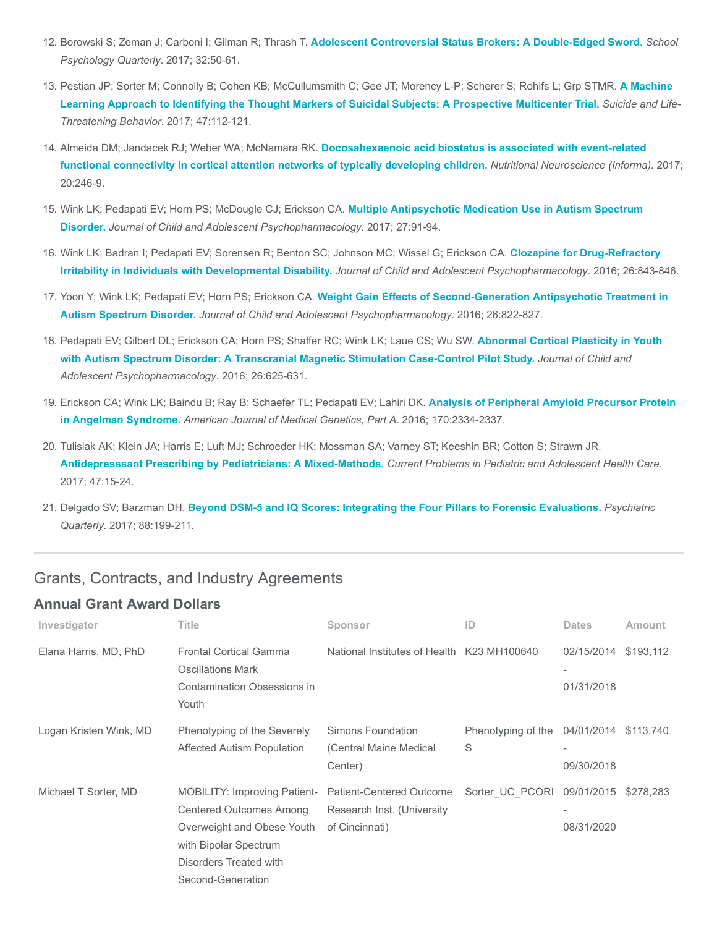- 12. Borowski S; Zeman J; Carboni I; Gilman R; Thrash T. [Adolescent Controversial Status Brokers: A Double-Edged Sword.](https://www.ncbi.nlm.nih.gov/pubmed/27428447) School Psychology Quarterly. 2017; 32:50-61.
- 13. [Pestian JP; Sorter M; Connolly B; Cohen KB; McCullumsmith C; Gee JT; Morency L-P; Scherer S; Rohlfs L; Grp STMR.](https://www.ncbi.nlm.nih.gov/pubmed/27813129) A Machine Learning Approach to Identifying the Thought Markers of Suicidal Subjects: A Prospective Multicenter Trial. Suicide and Life-Threatening Behavior. 2017; 47:112-121.
- 14. Almeida DM; Jandacek RJ; Weber WA; McNamara RK. Docosahexaenoic acid biostatus is associated with event-related [functional connectivity in cortical attention networks of typically developing children.](https://www.ncbi.nlm.nih.gov/pubmed/26463682) Nutritional Neuroscience (Informa). 2017; 20:246-9.
- 15. [Wink LK; Pedapati EV; Horn PS; McDougle CJ; Erickson CA.](https://www.ncbi.nlm.nih.gov/pubmed/26465194) Multiple Antipsychotic Medication Use in Autism Spectrum Disorder. Journal of Child and Adolescent Psychopharmacology. 2017; 27:91-94.
- 16. [Wink LK; Badran I; Pedapati EV; Sorensen R; Benton SC; Johnson MC; Wissel G; Erickson CA.](https://www.ncbi.nlm.nih.gov/pubmed/26986554) Clozapine for Drug-Refractory Irritability in Individuals with Developmental Disability. Journal of Child and Adolescent Psychopharmacology. 2016; 26:843-846.
- 17. Yoon Y; Wink LK; Pedapati EV; Horn PS; Erickson CA. [Weight Gain Effects of Second-Generation Antipsychotic Treatment in](https://www.ncbi.nlm.nih.gov/pubmed/27389348) Autism Spectrum Disorder. Journal of Child and Adolescent Psychopharmacology. 2016; 26:822-827.
- 18. [Pedapati EV; Gilbert DL; Erickson CA; Horn PS; Shaffer RC; Wink LK; Laue CS; Wu SW.](https://www.ncbi.nlm.nih.gov/pubmed/27007257) Abnormal Cortical Plasticity in Youth with Autism Spectrum Disorder: A Transcranial Magnetic Stimulation Case-Control Pilot Study. Journal of Child and Adolescent Psychopharmacology. 2016; 26:625-631.
- 19. [Erickson CA; Wink LK; Baindu B; Ray B; Schaefer TL; Pedapati EV; Lahiri DK.](https://www.ncbi.nlm.nih.gov/pubmed/27327493) Analysis of Peripheral Amyloid Precursor Protein in Angelman Syndrome. American Journal of Medical Genetics, Part A. 2016; 170:2334-2337.
- 20. Tulisiak AK; Klein JA; Harris E; Luft MJ; Schroeder HK; Mossman SA; Varney ST; Keeshin BR; Cotton S; Strawn JR. [Antidepresssant Prescribing by Pediatricians: A Mixed-Mathods.](https://www.ncbi.nlm.nih.gov/pubmed/28057447) Current Problems in Pediatric and Adolescent Health Care. 2017; 47:15-24.
- 21. Delgado SV; Barzman DH. [Beyond DSM-5 and IQ Scores: Integrating the Four Pillars to Forensic Evaluations.](https://www.ncbi.nlm.nih.gov/pubmed/27289591) Psychiatric Quarterly. 2017; 88:199-211.

## Grants, Contracts, and Industry Agreements

#### Annual Grant Award Dollars

| Investigator           | <b>Title</b>                                                                                                                                                                | Sponsor                                                                         | ID                      | <b>Dates</b>                                         | Amount    |
|------------------------|-----------------------------------------------------------------------------------------------------------------------------------------------------------------------------|---------------------------------------------------------------------------------|-------------------------|------------------------------------------------------|-----------|
| Elana Harris, MD, PhD  | <b>Frontal Cortical Gamma</b><br><b>Oscillations Mark</b><br>Contamination Obsessions in<br>Youth                                                                           | National Institutes of Health K23 MH100640                                      |                         | 02/15/2014<br>01/31/2018                             | \$193,112 |
| Logan Kristen Wink, MD | Phenotyping of the Severely<br>Affected Autism Population                                                                                                                   | Simons Foundation<br>(Central Maine Medical<br>Center)                          | Phenotyping of the<br>S | 04/01/2014<br>$\overline{\phantom{a}}$<br>09/30/2018 | \$113.740 |
| Michael T Sorter, MD   | <b>MOBILITY: Improving Patient-</b><br><b>Centered Outcomes Among</b><br>Overweight and Obese Youth<br>with Bipolar Spectrum<br>Disorders Treated with<br>Second-Generation | <b>Patient-Centered Outcome</b><br>Research Inst. (University<br>of Cincinnati) | Sorter UC PCORI         | 09/01/2015<br>08/31/2020                             | \$278,283 |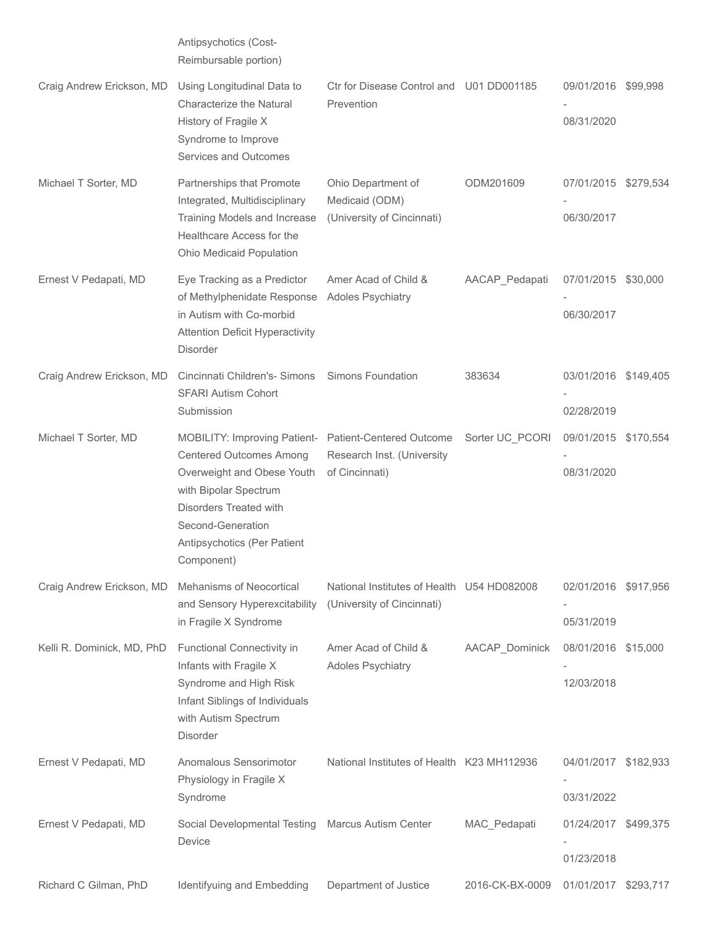|                            | Antipsychotics (Cost-<br>Reimbursable portion)                                                                                                                                                                                             |                                                                          |                 |                                    |  |
|----------------------------|--------------------------------------------------------------------------------------------------------------------------------------------------------------------------------------------------------------------------------------------|--------------------------------------------------------------------------|-----------------|------------------------------------|--|
| Craig Andrew Erickson, MD  | Using Longitudinal Data to<br>Characterize the Natural<br>History of Fragile X<br>Syndrome to Improve<br>Services and Outcomes                                                                                                             | Ctr for Disease Control and U01 DD001185<br>Prevention                   |                 | 09/01/2016 \$99,998<br>08/31/2020  |  |
| Michael T Sorter, MD       | Partnerships that Promote<br>Integrated, Multidisciplinary<br>Training Models and Increase<br>Healthcare Access for the<br>Ohio Medicaid Population                                                                                        | Ohio Department of<br>Medicaid (ODM)<br>(University of Cincinnati)       | ODM201609       | 07/01/2015 \$279,534<br>06/30/2017 |  |
| Ernest V Pedapati, MD      | Eye Tracking as a Predictor<br>of Methylphenidate Response<br>in Autism with Co-morbid<br><b>Attention Deficit Hyperactivity</b><br><b>Disorder</b>                                                                                        | Amer Acad of Child &<br><b>Adoles Psychiatry</b>                         | AACAP_Pedapati  | 07/01/2015 \$30,000<br>06/30/2017  |  |
| Craig Andrew Erickson, MD  | Cincinnati Children's- Simons<br><b>SFARI Autism Cohort</b><br>Submission                                                                                                                                                                  | <b>Simons Foundation</b>                                                 | 383634          | 03/01/2016 \$149,405<br>02/28/2019 |  |
| Michael T Sorter, MD       | MOBILITY: Improving Patient- Patient-Centered Outcome<br><b>Centered Outcomes Among</b><br>Overweight and Obese Youth<br>with Bipolar Spectrum<br>Disorders Treated with<br>Second-Generation<br>Antipsychotics (Per Patient<br>Component) | Research Inst. (University<br>of Cincinnati)                             | Sorter UC_PCORI | 09/01/2015 \$170,554<br>08/31/2020 |  |
| Craig Andrew Erickson, MD  | Mehanisms of Neocortical<br>and Sensory Hyperexcitability<br>in Fragile X Syndrome                                                                                                                                                         | National Institutes of Health U54 HD082008<br>(University of Cincinnati) |                 | 02/01/2016 \$917,956<br>05/31/2019 |  |
| Kelli R. Dominick, MD, PhD | Functional Connectivity in<br>Infants with Fragile X<br>Syndrome and High Risk<br>Infant Siblings of Individuals<br>with Autism Spectrum<br>Disorder                                                                                       | Amer Acad of Child &<br><b>Adoles Psychiatry</b>                         | AACAP_Dominick  | 08/01/2016 \$15,000<br>12/03/2018  |  |
| Ernest V Pedapati, MD      | Anomalous Sensorimotor<br>Physiology in Fragile X<br>Syndrome                                                                                                                                                                              | National Institutes of Health K23 MH112936                               |                 | 04/01/2017 \$182,933<br>03/31/2022 |  |
| Ernest V Pedapati, MD      | Social Developmental Testing<br>Device                                                                                                                                                                                                     | <b>Marcus Autism Center</b>                                              | MAC_Pedapati    | 01/24/2017 \$499,375<br>01/23/2018 |  |
| Richard C Gilman, PhD      | Identifyuing and Embedding                                                                                                                                                                                                                 | Department of Justice                                                    | 2016-CK-BX-0009 | 01/01/2017 \$293,717               |  |